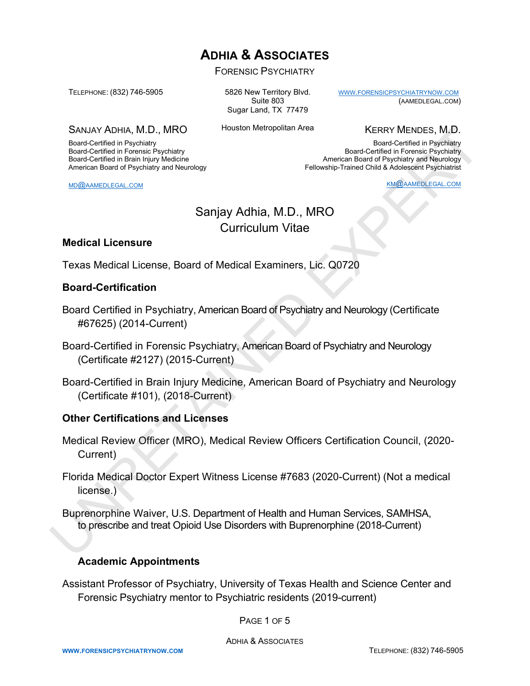# **ADHIA & ASSOCIATES**

FORENSIC PSYCHIATRY

TELEPHONE: (832) 746-5905

Board-Certified in Psychiatry Board-Certified in Forensic Psychiatry Board-Certified in Brain Injury Medicine American Board of Psychiatry and Neurology

SANJAY ADHIA, M.D., MRO

5826 New Territory Blvd. Suite 803 Sugar Land, TX 77479

Houston Metropolitan Area

KERRY MENDES, M.D.

[WWW.FORENSICPSYCHIATRYNOW.COM](about:blank)

Board-Certified in Psychiatry Board-Certified in Forensic Psychiatry American Board of Psychiatry and Neurology Fellowship-Trained Child & Adolescent Psychiatrist

KM@AAMEDLEGAL.COM

(AAMEDLEGAL.COM)

## Sanjay Adhia, M.D., MRO Curriculum Vitae

#### **Medical Licensure**

MD@AAMEDLEGAL.COM

Texas Medical License, Board of Medical Examiners, Lic. Q0720

#### **Board-Certification**

- Board Certified in Psychiatry, American Board of Psychiatry and Neurology (Certificate #67625) (2014-Current)
- Board-Certified in Forensic Psychiatry, American Board of Psychiatry and Neurology (Certificate #2127) (2015-Current)
- Board-Certified in Brain Injury Medicine, American Board of Psychiatry and Neurology (Certificate #101), (2018-Current)

#### **Other Certifications and Licenses**

- Medical Review Officer (MRO), Medical Review Officers Certification Council, (2020- Current)
- Florida Medical Doctor Expert Witness License #7683 (2020-Current) (Not a medical license.) SANAY ADHIA, M.D., MRO<br>
Sangle Certifical in Physicial in Number Methods in the Northern Methods Reserved the Section in Form Hall in the Section Figure Certifical in Equal Certifical in Equal of the Section of the Section
	- Buprenorphine Waiver, U.S. Department of Health and Human Services, SAMHSA, to prescribe and treat Opioid Use Disorders with Buprenorphine (2018-Current)

#### **Academic Appointments**

Assistant Professor of Psychiatry, University of Texas Health and Science Center and Forensic Psychiatry mentor to Psychiatric residents (2019-current)

PAGE 1 OF 5

ADHIA & ASSOCIATES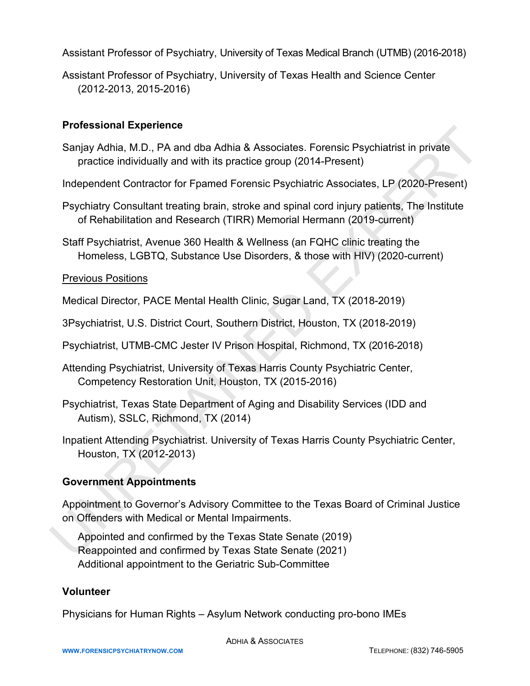Assistant Professor of Psychiatry, University of Texas Medical Branch (UTMB) (2016-2018)

Assistant Professor of Psychiatry, University of Texas Health and Science Center (2012-2013, 2015-2016)

## **Professional Experience**

Sanjay Adhia, M.D., PA and dba Adhia & Associates. Forensic Psychiatrist in private practice individually and with its practice group (2014-Present)

Independent Contractor for Fpamed Forensic Psychiatric Associates, LP (2020-Present)

- Psychiatry Consultant treating brain, stroke and spinal cord injury patients, The Institute of Rehabilitation and Research (TIRR) Memorial Hermann (2019-current)
- Staff Psychiatrist, Avenue 360 Health & Wellness (an FQHC clinic treating the Homeless, LGBTQ, Substance Use Disorders, & those with HIV) (2020-current)

## Previous Positions

Medical Director, PACE Mental Health Clinic, Sugar Land, TX (2018-2019)

- 3Psychiatrist, U.S. District Court, Southern District, Houston, TX (2018-2019)
- Psychiatrist, UTMB-CMC Jester IV Prison Hospital, Richmond, TX (2016-2018)
- Attending Psychiatrist, University of Texas Harris County Psychiatric Center, Competency Restoration Unit, Houston, TX (2015-2016)
- Psychiatrist, Texas State Department of Aging and Disability Services (IDD and Autism), SSLC, Richmond, TX (2014)
- Inpatient Attending Psychiatrist. University of Texas Harris County Psychiatric Center, Houston, TX (2012-2013)

## **Government Appointments**

Appointment to Governor's Advisory Committee to the Texas Board of Criminal Justice on Offenders with Medical or Mental Impairments. Processional Experience<br>
Sanja Adhia & Associates. Forensic Psychiatrist in private<br>
practice individually and with its practice group (2014-Present)<br>
Independent Contractor for Fpamed Forensic Psychiatric Associates, LP (

Appointed and confirmed by the Texas State Senate (2019) Reappointed and confirmed by Texas State Senate (2021) Additional appointment to the Geriatric Sub-Committee

#### **Volunteer**

Physicians for Human Rights – Asylum Network conducting pro-bono IMEs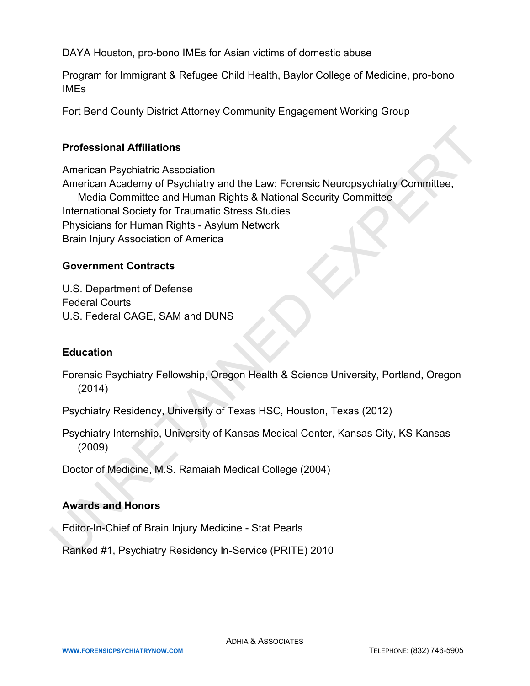DAYA Houston, pro-bono IMEs for Asian victims of domestic abuse

Program for Immigrant & Refugee Child Health, Baylor College of Medicine, pro-bono IMEs

Fort Bend County District Attorney Community Engagement Working Group

## **Professional Affiliations**

American Psychiatric Association American Academy of Psychiatry and the Law; Forensic Neuropsychiatry Committee, Media Committee and Human Rights & National Security Committee International Society for Traumatic Stress Studies Physicians for Human Rights - Asylum Network Brain Injury Association of America **Professional Affiliations**<br>
American Psychiatry Association<br>
American Academy of Psychiatry and the Law, Forensic Neuropsychiatry Committee,<br>
Media Committee and Human Rights & National Security Committee<br>
International S

## **Government Contracts**

U.S. Department of Defense Federal Courts U.S. Federal CAGE, SAM and DUNS

#### **Education**

Forensic Psychiatry Fellowship, Oregon Health & Science University, Portland, Oregon (2014)

Psychiatry Residency, University of Texas HSC, Houston, Texas (2012)

Psychiatry Internship, University of Kansas Medical Center, Kansas City, KS Kansas (2009)

Doctor of Medicine, M.S. Ramaiah Medical College (2004)

#### **Awards and Honors**

Editor-In-Chief of Brain Injury Medicine - Stat Pearls

Ra nked #1, Psychiatry Residency In-Service (PRITE) 2010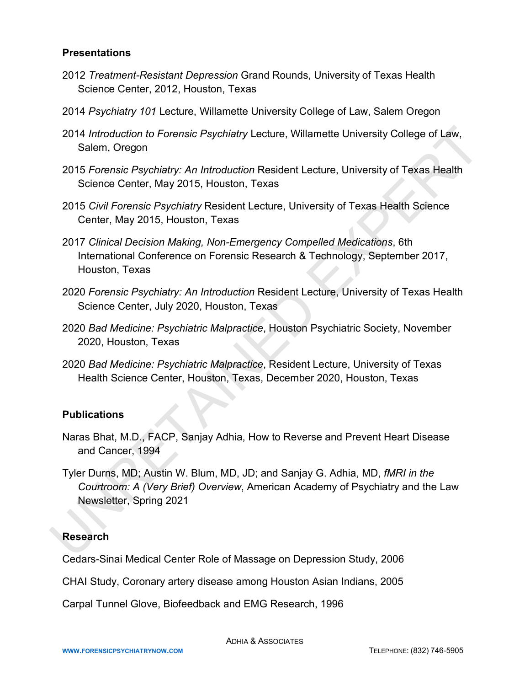#### **Presentations**

- 2012 *Treatment-Resistant Depression* Grand Rounds, University of Texas Health Science Center, 2012, Houston, Texas
- 2014 *Psychiatry 101* Lecture, Willamette University College of Law, Salem Oregon
- 2014 *Introduction to Forensic Psychiatry* Lecture, Willamette University College of Law, Salem, Oregon
- 2015 *Forensic Psychiatry: An Introduction* Resident Lecture, University of Texas Health Science Center, May 2015, Houston, Texas
- 2015 *Civil Forensic Psychiatry* Resident Lecture, University of Texas Health Science Center, May 2015, Houston, Texas
- 2017 *Clinical Decision Making, Non-Emergency Compelled Medications*, 6th International Conference on Forensic Research & Technology, September 2017, Houston, Texas
- 2020 *Forensic Psychiatry: An Introduction* Resident Lecture, University of Texas Health Science Center, July 2020, Houston, Texas
- 2020 *Bad Medicine: Psychiatric Malpractice*, Houston Psychiatric Society, November 2020, Houston, Texas
- 2020 *Bad Medicine: Psychiatric Malpractice*, Resident Lecture, University of Texas Health Science Center, Houston, Texas, December 2020, Houston, Texas

#### **Publications**

- Naras Bhat, M.D., FACP, Sanjay Adhia, How to Reverse and Prevent Heart Disease and Cancer, 1994
- Tyler Durns, MD; Austin W. Blum, MD, JD; and Sanjay G. Adhia, MD, *fMRI in the Courtroom: A (Very Brief) Overview*, American Academy of Psychiatry and the Law Newsletter, Spring 2021 2014 *Introduction to Forensic Psychiatry* Lecture, Willamette University College of Law,<br>
Salem, Oregon<br>
2015 *Forensic Psychiatry*: *An Introduction* Resident Lecture, University of Texas Health<br>
5 Science Center, May 20

#### **Research**

Cedars-Sinai Medical Center Role of Massage on Depression Study, 2006

CHAI Study, Coronary artery disease among Houston Asian Indians, 2005

Carpal Tunnel Glove, Biofeedback and EMG Research, 1996